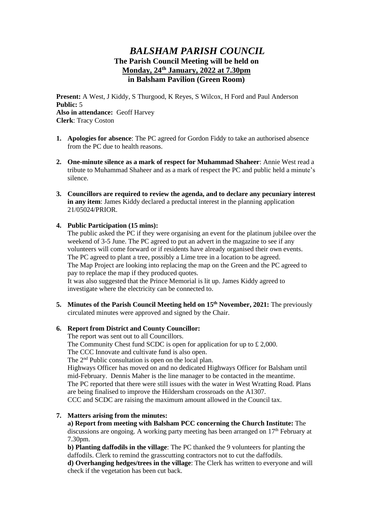# *BALSHAM PARISH COUNCIL* **The Parish Council Meeting will be held on Monday, 24th January, 2022 at 7.30pm in Balsham Pavilion (Green Room)**

**Present:** A West, J Kiddy, S Thurgood, K Reyes, S Wilcox, H Ford and Paul Anderson **Public:** 5 **Also in attendance:** Geoff Harvey **Clerk**: Tracy Coston

- **1. Apologies for absence**: The PC agreed for Gordon Fiddy to take an authorised absence from the PC due to health reasons.
- **2. One-minute silence as a mark of respect for Muhammad Shaheer**: Annie West read a tribute to Muhammad Shaheer and as a mark of respect the PC and public held a minute's silence.
- **3. Councillors are required to review the agenda, and to declare any pecuniary interest in any item**: James Kiddy declared a preductal interest in the planning application 21/05024/PRIOR.

### **4. Public Participation (15 mins):**

The public asked the PC if they were organising an event for the platinum jubilee over the weekend of 3-5 June. The PC agreed to put an advert in the magazine to see if any volunteers will come forward or if residents have already organised their own events. The PC agreed to plant a tree, possibly a Lime tree in a location to be agreed. The Map Project are looking into replacing the map on the Green and the PC agreed to pay to replace the map if they produced quotes. It was also suggested that the Prince Memorial is lit up. James Kiddy agreed to investigate where the electricity can be connected to.

**5. Minutes of the Parish Council Meeting held on 15th November, 2021:** The previously circulated minutes were approved and signed by the Chair.

#### **6. Report from District and County Councillor:**

The report was sent out to all Councillors.

The Community Chest fund SCDC is open for application for up to £ 2,000.

The CCC Innovate and cultivate fund is also open.

The 2<sup>nd</sup> Public consultation is open on the local plan.

Highways Officer has moved on and no dedicated Highways Officer for Balsham until mid-February. Dennis Maher is the line manager to be contacted in the meantime. The PC reported that there were still issues with the water in West Wratting Road. Plans are being finalised to improve the Hildersham crossroads on the A1307. CCC and SCDC are raising the maximum amount allowed in the Council tax.

#### **7. Matters arising from the minutes:**

**a) Report from meeting with Balsham PCC concerning the Church Institute:** The discussions are ongoing. A working party meeting has been arranged on 17<sup>th</sup> February at 7.30pm.

**b) Planting daffodils in the village**: The PC thanked the 9 volunteers for planting the daffodils. Clerk to remind the grasscutting contractors not to cut the daffodils.

**d) Overhanging hedges/trees in the village**: The Clerk has written to everyone and will check if the vegetation has been cut back.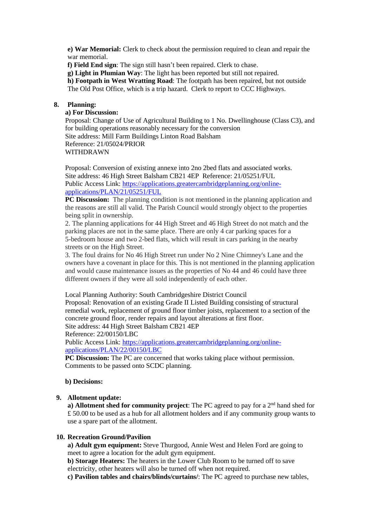**e) War Memorial:** Clerk to check about the permission required to clean and repair the war memorial.

**f) Field End sign**: The sign still hasn't been repaired. Clerk to chase.

**g) Light in Plumian Way**: The light has been reported but still not repaired.

**h) Footpath in West Wratting Road**: The footpath has been repaired, but not outside

The Old Post Office, which is a trip hazard. Clerk to report to CCC Highways.

### **8. Planning:**

## **a) For Discussion:**

Proposal: Change of Use of Agricultural Building to 1 No. Dwellinghouse (Class C3), and for building operations reasonably necessary for the conversion Site address: Mill Farm Buildings Linton Road Balsham Reference: 21/05024/PRIOR WITHDRAWN

Proposal: Conversion of existing annexe into 2no 2bed flats and associated works. Site address: 46 High Street Balsham CB21 4EP Reference: 21/05251/FUL Public Access Link: [https://applications.greatercambridgeplanning.org/online](https://applications.greatercambridgeplanning.org/online-applications/PLAN/21/05251/FUL)[applications/PLAN/21/05251/FUL](https://applications.greatercambridgeplanning.org/online-applications/PLAN/21/05251/FUL)

**PC Discussion:** The planning condition is not mentioned in the planning application and the reasons are still all valid. The Parish Council would strongly object to the properties being split in ownership.

2. The planning applications for 44 High Street and 46 High Street do not match and the parking places are not in the same place. There are only 4 car parking spaces for a 5-bedroom house and two 2-bed flats, which will result in cars parking in the nearby streets or on the High Street.

3. The foul drains for No 46 High Street run under No 2 Nine Chimney's Lane and the owners have a covenant in place for this. This is not mentioned in the planning application and would cause maintenance issues as the properties of No 44 and 46 could have three different owners if they were all sold independently of each other.

#### Local Planning Authority: South Cambridgeshire District Council

Proposal: Renovation of an existing Grade II Listed Building consisting of structural remedial work, replacement of ground floor timber joists, replacement to a section of the concrete ground floor, render repairs and layout alterations at first floor. Site address: 44 High Street Balsham CB21 4EP

Reference: 22/00150/LBC

Public Access Link: [https://applications.greatercambridgeplanning.org/online](https://applications.greatercambridgeplanning.org/online-applications/PLAN/22/00150/LBC)[applications/PLAN/22/00150/LBC](https://applications.greatercambridgeplanning.org/online-applications/PLAN/22/00150/LBC)

**PC Discussion:** The PC are concerned that works taking place without permission. Comments to be passed onto SCDC planning.

### **b) Decisions:**

### **9. Allotment update:**

a) Allotment shed for community project: The PC agreed to pay for a 2<sup>nd</sup> hand shed for £ 50.00 to be used as a hub for all allotment holders and if any community group wants to use a spare part of the allotment.

#### **10. Recreation Ground/Pavilion**

**a) Adult gym equipment:** Steve Thurgood, Annie West and Helen Ford are going to meet to agree a location for the adult gym equipment.

**b) Storage Heaters:** The heaters in the Lower Club Room to be turned off to save electricity, other heaters will also be turned off when not required.

**c) Pavilion tables and chairs/blinds/curtains/**: The PC agreed to purchase new tables,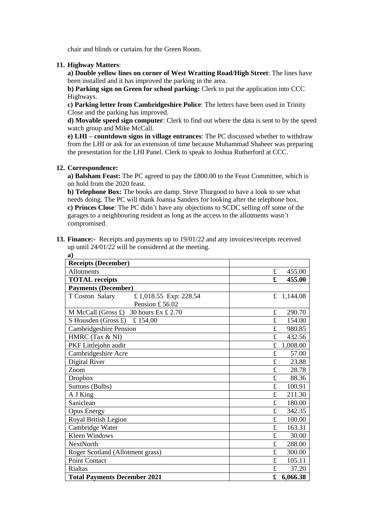chair and blinds or curtains for the Green Room.

### **11. Highway Matters**:

**a) Double yellow lines on corner of West Wratting Road/High Street**: The lines have been installed and it has improved the parking in the area.

**b) Parking sign on Green for school parking:** Clerk to put the application into CCC Highways.

**c) Parking letter from Cambridgeshire Police**: The letters have been used in Trinity Close and the parking has improved.

**d) Movable speed sign computer**: Clerk to find out where the data is sent to by the speed watch group and Mike McCall.

**e) LHI – countdown signs in village entrances**: The PC discussed whether to withdraw from the LHI or ask for an extension of time because Muhammad Shaheer was preparing the presentation for the LHI Panel. Clerk to speak to Joshua Rutherford at CCC.

### **12. Correspondence:**

**a) Balsham Feast:** The PC agreed to pay the £800.00 to the Feast Committee, which is on hold from the 2020 feast.

**b) Telephone Box:** The books are damp. Steve Thurgood to have a look to see what needs doing. The PC will thank Joanna Sanders for looking after the telephone box. **c) Princes Close**: The PC didn't have any objections to SCDC selling off some of the garages to a neighbouring resident as long as the access to the allotments wasn't compromised.

**13. Finance:-** Receipts and payments up to 19/01/22 and any invoices/receipts received up until 24/01/22 will be considered at the meeting.

| a)                                                |             |          |
|---------------------------------------------------|-------------|----------|
| <b>Receipts (December)</b>                        |             |          |
| Allotments                                        | £           | 455.00   |
| <b>TOTAL</b> receipts                             | £           | 455.00   |
| <b>Payments (December)</b>                        |             |          |
| T Coston Salary<br>£ 1,018.55 Exp: 228.54         | £           | 1,144.08 |
| Pension £56.02                                    |             |          |
| M McCall (Gross $\pounds$ )<br>30 hours Ex £ 2.70 | £           | 290.70   |
| S Housden (Gross £)<br>£154.00                    | £           | 154.00   |
| <b>Cambridgeshire Pension</b>                     | £           | 980.85   |
| HMRC (Tax & NI)                                   | £           | 432.56   |
| PKF Littlejohn audit                              | £           | 1,008.00 |
| Cambridgeshire Acre                               | $\mathbf f$ | 57.00    |
| Digital River                                     | £           | 23.88    |
| Zoom                                              | £           | 28.78    |
| <b>Dropbox</b>                                    | $\mathbf f$ | 88.36    |
| Suttons (Bulbs)                                   | £           | 100.91   |
| A J King                                          | £           | 211.30   |
| Saniclean                                         | £           | 180.00   |
| <b>Opus Energy</b>                                | £           | 342.35   |
| Royal British Legion                              | £           | 100.00   |
| Cambridge Water                                   | £           | 163.31   |
| Kleen Windows                                     | £           | 30.00    |
| <b>NextNorth</b>                                  | £           | 288.00   |
| Roger Scotland (Allotment grass)                  | £           | 300.00   |
| <b>Point Contact</b>                              | £           | 105.11   |
| <b>Rialtas</b>                                    | £           | 37.20    |
| <b>Total Payments December 2021</b>               | £           | 6,066.38 |